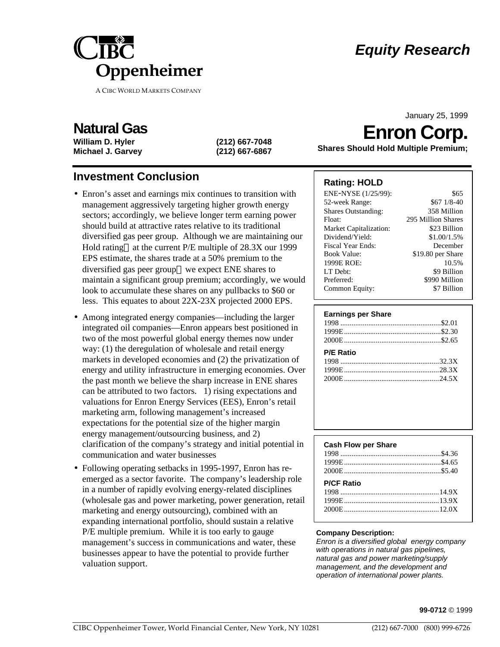

**A CIBC WORLD MARKETS COMPANY**

# *Equity Research*

January 25, 1999

## **Natural Gas**

**William D. Hyler (212) 667-7048 Michael J. Garvey (212) 667-6867**

### **Investment Conclusion**

- Enron's asset and earnings mix continues to transition with management aggressively targeting higher growth energy sectors; accordingly, we believe longer term earning power should build at attractive rates relative to its traditional diversified gas peer group. Although we are maintaining our Hold rating—at the current  $P/E$  multiple of  $28.3X$  our 1999 EPS estimate, the shares trade at a 50% premium to the diversified gas peer group—we expect ENE shares to maintain a significant group premium; accordingly, we would look to accumulate these shares on any pullbacks to \$60 or less. This equates to about 22X-23X projected 2000 EPS.
- Among integrated energy companies—including the larger integrated oil companies—Enron appears best positioned in two of the most powerful global energy themes now under way: (1) the deregulation of wholesale and retail energy markets in developed economies and (2) the privatization of energy and utility infrastructure in emerging economies. Over the past month we believe the sharp increase in ENE shares can be attributed to two factors. 1) rising expectations and valuations for Enron Energy Services (EES), Enron's retail marketing arm, following management's increased expectations for the potential size of the higher margin energy management/outsourcing business, and 2) clarification of the company's strategy and initial potential in communication and water businesses
- Following operating setbacks in 1995-1997, Enron has reemerged as a sector favorite. The company's leadership role in a number of rapidly evolving energy-related disciplines (wholesale gas and power marketing, power generation, retail marketing and energy outsourcing), combined with an expanding international portfolio, should sustain a relative P/E multiple premium. While it is too early to gauge management's success in communications and water, these businesses appear to have the potential to provide further valuation support.

# **Enron Corp.**

**Shares Should Hold Multiple Premium;**

#### **Rating: HOLD**

| ENE-NYSE (1/25/99):        | \$65               |
|----------------------------|--------------------|
| 52-week Range:             | $$671/8-40$        |
| <b>Shares Outstanding:</b> | 358 Million        |
| Float:                     | 295 Million Shares |
| Market Capitalization:     | \$23 Billion       |
| Dividend/Yield:            | \$1.00/1.5%        |
| Fiscal Year Ends:          | December           |
| <b>Book Value:</b>         | \$19.80 per Share  |
| 1999E ROE:                 | 10.5%              |
| LT Debt:                   | \$9 Billion        |
| Preferred:                 | \$990 Million      |
| Common Equity:             | \$7 Billion        |

| <b>Cash Flow per Share</b> |  |
|----------------------------|--|
|                            |  |
|                            |  |
|                            |  |
|                            |  |
| <b>P/CF Ratio</b>          |  |
|                            |  |
|                            |  |
| 2000E 2000 12.0X           |  |

#### **Company Description:**

*Enron is a diversified global energy company with operations in natural gas pipelines, natural gas and power marketing/supply management, and the development and operation of international power plants.*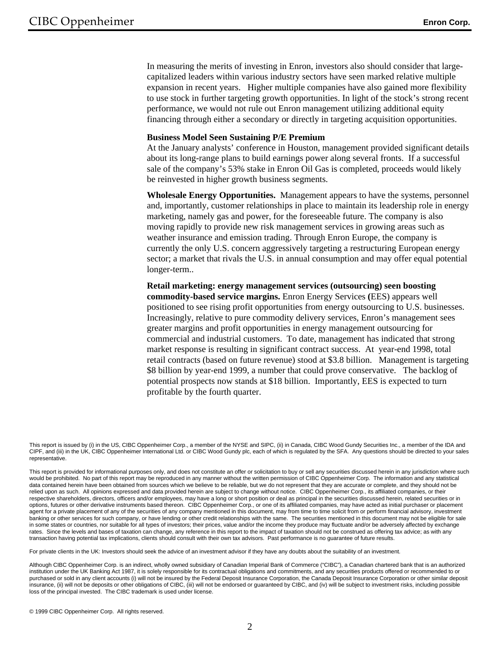In measuring the merits of investing in Enron, investors also should consider that largecapitalized leaders within various industry sectors have seen marked relative multiple expansion in recent years. Higher multiple companies have also gained more flexibility to use stock in further targeting growth opportunities. In light of the stock's strong recent performance, we would not rule out Enron management utilizing additional equity financing through either a secondary or directly in targeting acquisition opportunities.

#### **Business Model Seen Sustaining P/E Premium**

At the January analysts' conference in Houston, management provided significant details about its long-range plans to build earnings power along several fronts. If a successful sale of the company's 53% stake in Enron Oil Gas is completed, proceeds would likely be reinvested in higher growth business segments.

**Wholesale Energy Opportunities.** Management appears to have the systems, personnel and, importantly, customer relationships in place to maintain its leadership role in energy marketing, namely gas and power, for the foreseeable future. The company is also moving rapidly to provide new risk management services in growing areas such as weather insurance and emission trading. Through Enron Europe, the company is currently the only U.S. concern aggressively targeting a restructuring European energy sector; a market that rivals the U.S. in annual consumption and may offer equal potential longer-term..

**Retail marketing: energy management services (outsourcing) seen boosting commodity-based service margins.** Enron Energy Services **(**EES) appears well positioned to see rising profit opportunities from energy outsourcing to U.S. businesses. Increasingly, relative to pure commodity delivery services, Enron's management sees greater margins and profit opportunities in energy management outsourcing for commercial and industrial customers. To date, management has indicated that strong market response is resulting in significant contract success. At year-end 1998, total retail contracts (based on future revenue) stood at \$3.8 billion. Management is targeting \$8 billion by year-end 1999, a number that could prove conservative. The backlog of potential prospects now stands at \$18 billion. Importantly, EES is expected to turn profitable by the fourth quarter.

For private clients in the UK: Investors should seek the advice of an investment advisor if they have any doubts about the suitability of an investment.

Although CIBC Oppenheimer Corp. is an indirect, wholly owned subsidiary of Canadian Imperial Bank of Commerce ("CIBC"), a Canadian chartered bank that is an authorized institution under the UK Banking Act 1987, it is solely responsible for its contractual obligations and commitments, and any securities products offered or recommended to or purchased or sold in any client accounts (i) will not be insured by the Federal Deposit Insurance Corporation, the Canada Deposit Insurance Corporation or other similar deposit insurance, (ii) will not be deposits or other obligations of CIBC, (iii) will not be endorsed or guaranteed by CIBC, and (iv) will be subject to investment risks, including possible loss of the principal invested. The CIBC trademark is used under license.

This report is issued by (i) in the US, CIBC Oppenheimer Corp., a member of the NYSE and SIPC, (ii) in Canada, CIBC Wood Gundy Securities Inc., a member of the IDA and CIPF, and (iii) in the UK, CIBC Oppenheimer International Ltd. or CIBC Wood Gundy plc, each of which is regulated by the SFA. Any questions should be directed to your sales representative.

This report is provided for informational purposes only, and does not constitute an offer or solicitation to buy or sell any securities discussed herein in any jurisdiction where such would be prohibited. No part of this report may be reproduced in any manner without the written permission of CIBC Oppenheimer Corp. The information and any statistical data contained herein have been obtained from sources which we believe to be reliable, but we do not represent that they are accurate or complete, and they should not be relied upon as such. All opinions expressed and data provided herein are subject to change without notice. CIBC Oppenheimer Corp., its affiliated companies, or their respective shareholders, directors, officers and/or employees, may have a long or short position or deal as principal in the securities discussed herein, related securities or in options, futures or other derivative instruments based thereon. CIBC Oppenheimer Corp., or one of its affiliated companies, may have acted as initial purchaser or placement agent for a private placement of any of the securities of any company mentioned in this document, may from time to time solicit from or perform financial advisory, investment banking or other services for such company, or have lending or other credit relationships with the same. The securities mentioned in this document may not be eligible for sale in some states or countries, nor suitable for all types of investors; their prices, value and/or the income they produce may fluctuate and/or be adversely affected by exchange rates. Since the levels and bases of taxation can change, any reference in this report to the impact of taxation should not be construed as offering tax advice; as with any transaction having potential tax implications, clients should consult with their own tax advisors. Past performance is no guarantee of future results.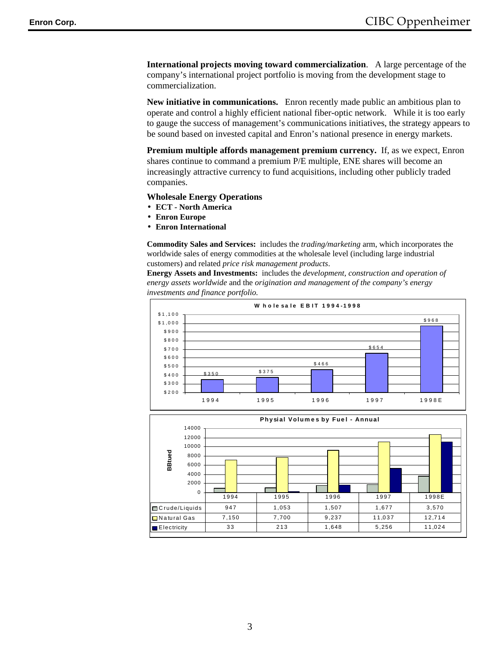**International projects moving toward commercialization**. A large percentage of the company's international project portfolio is moving from the development stage to commercialization.

**New initiative in communications.** Enron recently made public an ambitious plan to operate and control a highly efficient national fiber-optic network. While it is too early to gauge the success of management's communications initiatives, the strategy appears to be sound based on invested capital and Enron's national presence in energy markets.

**Premium multiple affords management premium currency.** If, as we expect, Enron shares continue to command a premium P/E multiple, ENE shares will become an increasingly attractive currency to fund acquisitions, including other publicly traded companies.

#### **Wholesale Energy Operations**

- **ECT North America**
- **Enron Europe**
- **Enron International**

**Commodity Sales and Services:** includes the *trading/marketing* arm, which incorporates the worldwide sales of energy commodities at the wholesale level (including large industrial customers) and related *price risk management products*.

**Energy Assets and Investments:** includes the *development, construction and operation of energy assets worldwide* and the *origination and management of the company's energy investments and finance portfolio.*



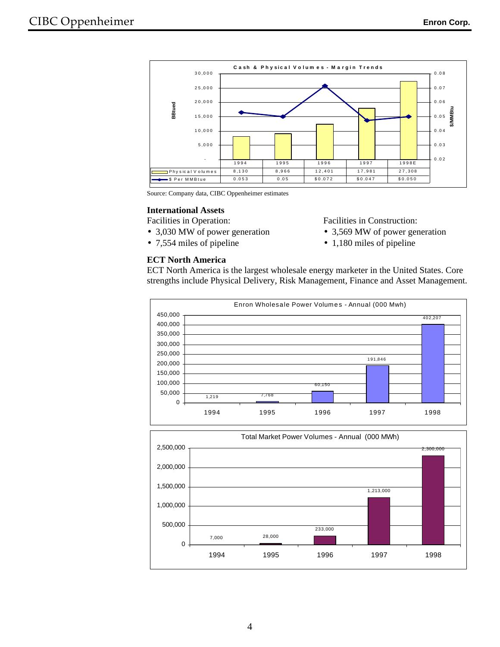

Source: Company data, CIBC Oppenheimer estimates

#### **International Assets**

Facilities in Operation:

**ECT North America**

- 3,030 MW of power generation
- 7,554 miles of pipeline

#### Facilities in Construction:

- 3,569 MW of power generation
- 1,180 miles of pipeline

ECT North America is the largest wholesale energy marketer in the United States. Core strengths include Physical Delivery, Risk Management, Finance and Asset Management.



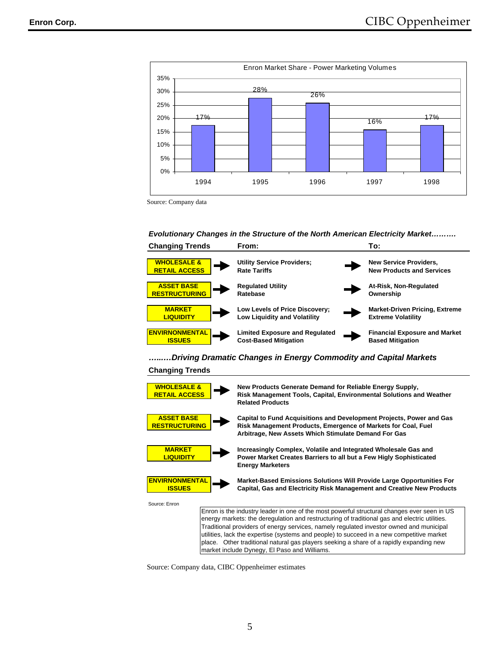

Source: Company data

*Evolutionary Changes in the Structure of the North American Electricity Market……….* 



*…...…Driving Dramatic Changes in Energy Commodity and Capital Markets* 

#### **Changing Trends**



Source: Company data, CIBC Oppenheimer estimates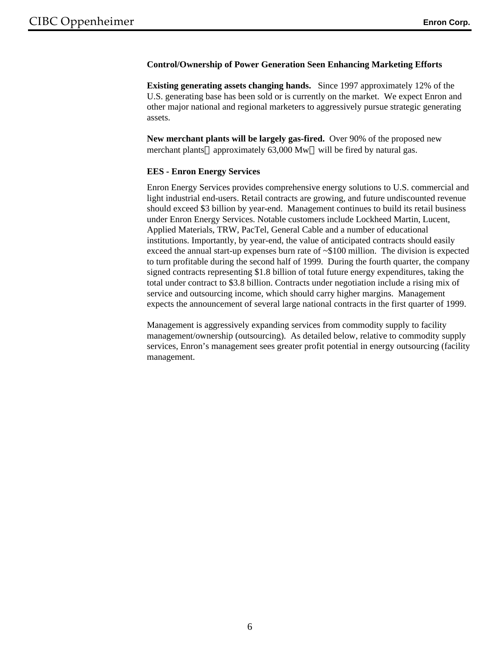#### **Control/Ownership of Power Generation Seen Enhancing Marketing Efforts**

**Existing generating assets changing hands.** Since 1997 approximately 12% of the U.S. generating base has been sold or is currently on the market. We expect Enron and other major national and regional marketers to aggressively pursue strategic generating assets.

**New merchant plants will be largely gas-fired.** Over 90% of the proposed new merchant plants—approximately 63,000 Mw—will be fired by natural gas.

#### **EES - Enron Energy Services**

Enron Energy Services provides comprehensive energy solutions to U.S. commercial and light industrial end-users. Retail contracts are growing, and future undiscounted revenue should exceed \$3 billion by year-end. Management continues to build its retail business under Enron Energy Services. Notable customers include Lockheed Martin, Lucent, Applied Materials, TRW, PacTel, General Cable and a number of educational institutions. Importantly, by year-end, the value of anticipated contracts should easily exceed the annual start-up expenses burn rate of ~\$100 million. The division is expected to turn profitable during the second half of 1999. During the fourth quarter, the company signed contracts representing \$1.8 billion of total future energy expenditures, taking the total under contract to \$3.8 billion. Contracts under negotiation include a rising mix of service and outsourcing income, which should carry higher margins. Management expects the announcement of several large national contracts in the first quarter of 1999.

Management is aggressively expanding services from commodity supply to facility management/ownership (outsourcing). As detailed below, relative to commodity supply services, Enron's management sees greater profit potential in energy outsourcing (facility management.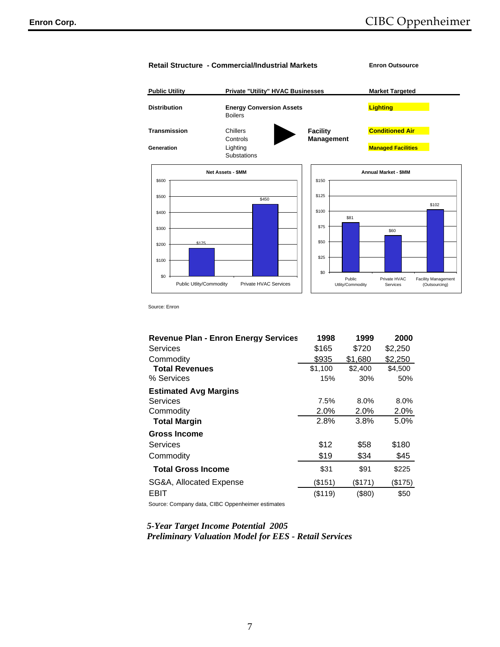

Source: Enron

| <b>Revenue Plan - Enron Energy Services</b> | 1998    | 1999      | 2000    |
|---------------------------------------------|---------|-----------|---------|
| Services                                    | \$165   | \$720     | \$2,250 |
| Commodity                                   | \$935   | \$1,680   | \$2,250 |
| <b>Total Revenues</b>                       | \$1,100 | \$2,400   | \$4,500 |
| % Services                                  | 15%     | 30%       | 50%     |
| <b>Estimated Avg Margins</b>                |         |           |         |
| Services                                    | 7.5%    | $8.0\%$   | 8.0%    |
| Commodity                                   | 2.0%    | 2.0%      | 2.0%    |
| <b>Total Margin</b>                         | 2.8%    | 3.8%      | 5.0%    |
| <b>Gross Income</b>                         |         |           |         |
| Services                                    | \$12    | \$58      | \$180   |
| Commodity                                   | \$19    | \$34      | \$45    |
| <b>Total Gross Income</b>                   | \$31    | \$91      | \$225   |
| SG&A, Allocated Expense                     | (\$151) | (\$171)   | (\$175) |
| EBIT                                        | (\$119) | $($ \$80) | \$50    |

Source: Company data, CIBC Oppenheimer estimates

#### *5-Year Target Income Potential 2005 Preliminary Valuation Model for EES - Retail Services*

#### 7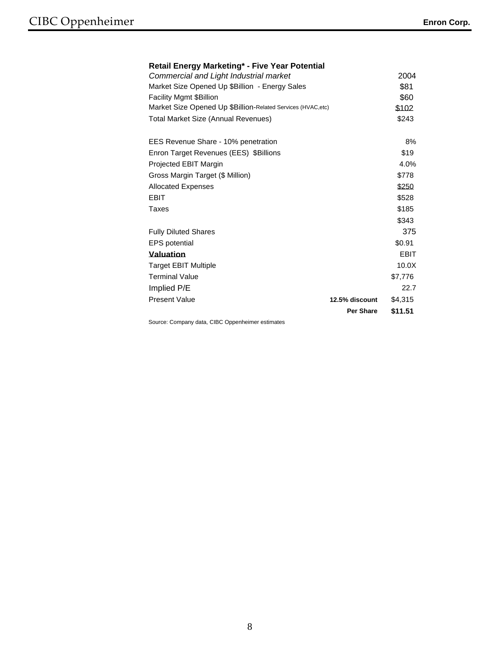#### **Retail Energy Marketing\* - Five Year Potential**

| Commercial and Light Industrial market                       |                  | 2004        |
|--------------------------------------------------------------|------------------|-------------|
| Market Size Opened Up \$Billion - Energy Sales               |                  | \$81        |
| <b>Facility Mgmt \$Billion</b>                               |                  | \$60        |
| Market Size Opened Up \$Billion-Related Services (HVAC, etc) |                  | \$102       |
| <b>Total Market Size (Annual Revenues)</b>                   |                  | \$243       |
| EES Revenue Share - 10% penetration                          |                  | 8%          |
| Enron Target Revenues (EES) \$Billions                       |                  | \$19        |
| Projected EBIT Margin                                        |                  | 4.0%        |
| Gross Margin Target (\$ Million)                             |                  | \$778       |
| <b>Allocated Expenses</b>                                    |                  | \$250       |
| <b>EBIT</b>                                                  |                  | \$528       |
| Taxes                                                        |                  | \$185       |
|                                                              |                  | \$343       |
| <b>Fully Diluted Shares</b>                                  |                  | 375         |
| <b>EPS</b> potential                                         |                  | \$0.91      |
| Valuation                                                    |                  | <b>EBIT</b> |
| <b>Target EBIT Multiple</b>                                  |                  | 10.0X       |
| <b>Terminal Value</b>                                        |                  | \$7.776     |
| Implied P/E                                                  |                  | 22.7        |
| <b>Present Value</b>                                         | 12.5% discount   | \$4,315     |
|                                                              | <b>Per Share</b> | \$11.51     |
|                                                              |                  |             |

Source: Company data, CIBC Oppenheimer estimates

8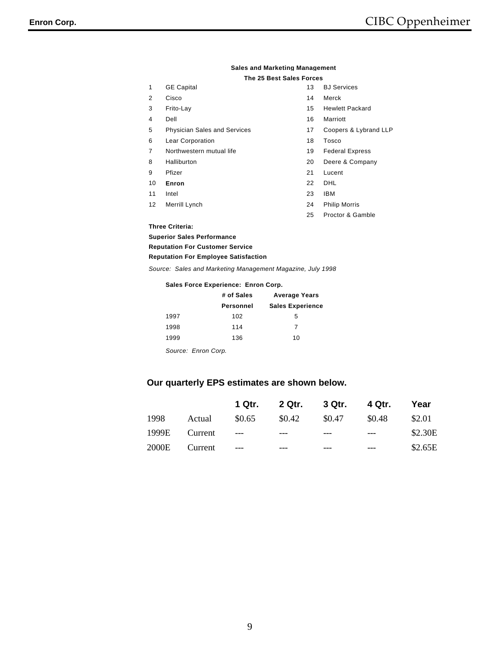|                   | Sales and Markethiu Manauellient    |                          |                        |
|-------------------|-------------------------------------|--------------------------|------------------------|
|                   |                                     | The 25 Best Sales Forces |                        |
| 1                 | <b>GE Capital</b>                   | 13                       | <b>BJ</b> Services     |
| 2                 | Cisco                               | 14                       | Merck                  |
| 3                 | Frito-Lay                           | 15                       | <b>Hewlett Packard</b> |
| 4                 | Dell                                | 16                       | Marriott               |
| 5                 | <b>Physician Sales and Services</b> | 17                       | Coopers & Lybrand LLP  |
| 6                 | Lear Corporation                    | 18                       | Tosco                  |
| 7                 | Northwestern mutual life            | 19                       | <b>Federal Express</b> |
| 8                 | Halliburton                         | 20                       | Deere & Company        |
| 9                 | Pfizer                              | 21                       | Lucent                 |
| 10                | Enron                               | 22                       | DHL                    |
| 11                | Intel                               | 23                       | <b>IBM</b>             |
| $12 \overline{ }$ | Merrill Lynch                       | 24                       | <b>Philip Morris</b>   |
|                   |                                     | 25                       | Proctor & Gamble       |
|                   | <b>Three Criteria:</b>              |                          |                        |
|                   | <b>Superior Sales Performance</b>   |                          |                        |

# **Sales and Marketing Management**

*Source: Sales and Marketing Management Magazine, July 1998* **Reputation For Employee Satisfaction**

#### **Sales Force Experience: Enron Corp.**

|      | # of Sales       | <b>Average Years</b>    |
|------|------------------|-------------------------|
|      | <b>Personnel</b> | <b>Sales Experience</b> |
| 1997 | 102              | 5                       |
| 1998 | 114              | 7                       |
| 1999 | 136              | 10                      |
|      |                  |                         |

*Source: Enron Corp.*

**Reputation For Customer Service**

#### **Our quarterly EPS estimates are shown below.**

|      |               |        |        | 1 Qtr. 2 Qtr. 3 Qtr. 4 Qtr. |        | Year    |
|------|---------------|--------|--------|-----------------------------|--------|---------|
| 1998 | Actual        | \$0.65 | \$0.42 | \$0.47                      | \$0.48 | \$2.01  |
|      | 1999E Current | $---$  | $---$  |                             | $---$  | \$2.30E |
|      | 2000E Current | $---$  |        |                             | ---    | \$2.65E |